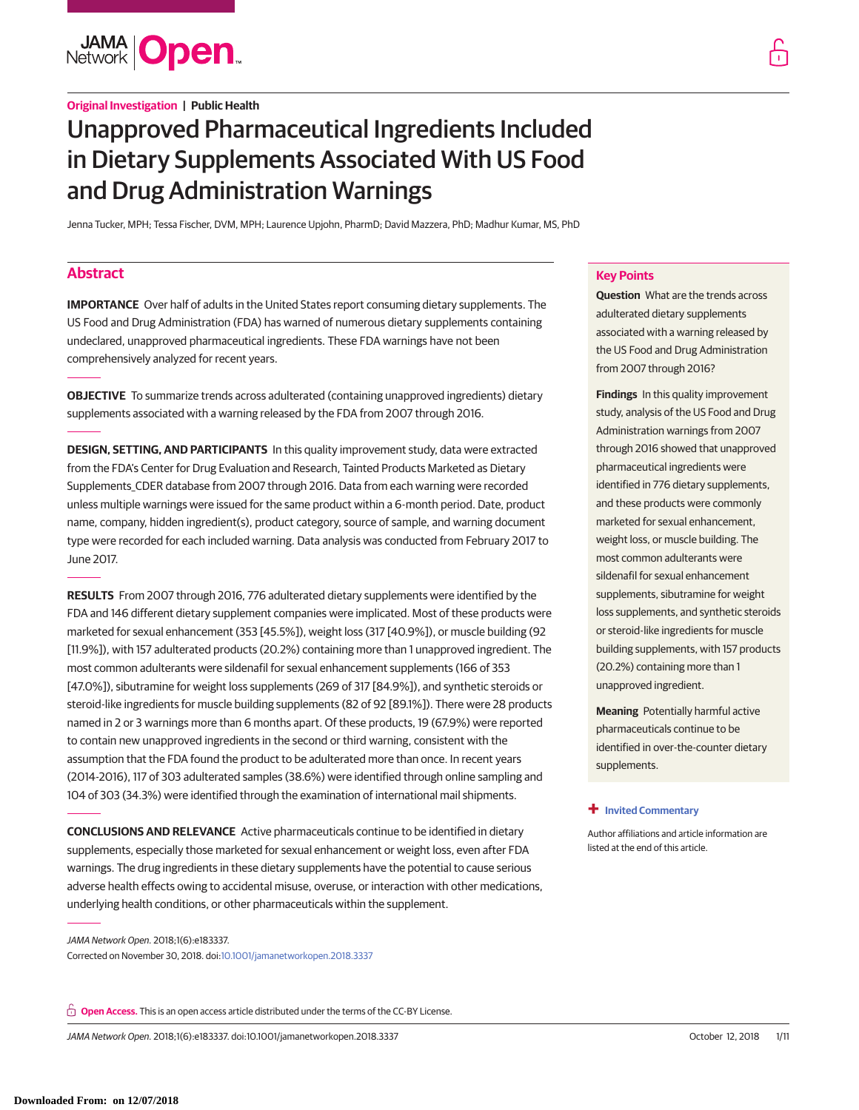**JAMA Open** 

**Original Investigation | Public Health**

# Unapproved Pharmaceutical Ingredients Included in Dietary Supplements Associated With US Food and Drug Administration Warnings

Jenna Tucker, MPH; Tessa Fischer, DVM, MPH; Laurence Upjohn, PharmD; David Mazzera, PhD; Madhur Kumar, MS, PhD

# **Abstract**

**IMPORTANCE** Over half of adults in the United States report consuming dietary supplements. The US Food and Drug Administration (FDA) has warned of numerous dietary supplements containing undeclared, unapproved pharmaceutical ingredients. These FDA warnings have not been comprehensively analyzed for recent years.

**OBJECTIVE** To summarize trends across adulterated (containing unapproved ingredients) dietary supplements associated with a warning released by the FDA from 2007 through 2016.

**DESIGN, SETTING, AND PARTICIPANTS** In this quality improvement study, data were extracted from the FDA's Center for Drug Evaluation and Research, Tainted Products Marketed as Dietary Supplements\_CDER database from 2007 through 2016. Data from each warning were recorded unless multiple warnings were issued for the same product within a 6-month period. Date, product name, company, hidden ingredient(s), product category, source of sample, and warning document type were recorded for each included warning. Data analysis was conducted from February 2017 to June 2017.

**RESULTS** From 2007 through 2016, 776 adulterated dietary supplements were identified by the FDA and 146 different dietary supplement companies were implicated. Most of these products were marketed for sexual enhancement (353 [45.5%]), weight loss (317 [40.9%]), or muscle building (92 [11.9%]), with 157 adulterated products (20.2%) containing more than 1 unapproved ingredient. The most common adulterants were sildenafil for sexual enhancement supplements (166 of 353 [47.0%]), sibutramine for weight loss supplements (269 of 317 [84.9%]), and synthetic steroids or steroid-like ingredients for muscle building supplements (82 of 92 [89.1%]). There were 28 products named in 2 or 3 warnings more than 6 months apart. Of these products, 19 (67.9%) were reported to contain new unapproved ingredients in the second or third warning, consistent with the assumption that the FDA found the product to be adulterated more than once. In recent years (2014-2016), 117 of 303 adulterated samples (38.6%) were identified through online sampling and 104 of 303 (34.3%) were identified through the examination of international mail shipments.

**CONCLUSIONS AND RELEVANCE** Active pharmaceuticals continue to be identified in dietary supplements, especially those marketed for sexual enhancement or weight loss, even after FDA warnings. The drug ingredients in these dietary supplements have the potential to cause serious adverse health effects owing to accidental misuse, overuse, or interaction with other medications, underlying health conditions, or other pharmaceuticals within the supplement.

JAMA Network Open. 2018;1(6):e183337. Corrected on November 30, 2018. doi[:10.1001/jamanetworkopen.2018.3337](https://jama.jamanetwork.com/article.aspx?doi=10.1001/jamanetworkopen.2018.3337&utm_campaign=articlePDF%26utm_medium=articlePDFlink%26utm_source=articlePDF%26utm_content=jamanetworkopen.2018.3337)

**Open Access.** This is an open access article distributed under the terms of the CC-BY License.

JAMA Network Open. 2018;1(6):e183337. doi:10.1001/jamanetworkopen.2018.3337 October 12, 2018 1/11

# **Key Points**

**Question** What are the trends across adulterated dietary supplements associated with a warning released by the US Food and Drug Administration from 2007 through 2016?

**Findings** In this quality improvement study, analysis of the US Food and Drug Administration warnings from 2007 through 2016 showed that unapproved pharmaceutical ingredients were identified in 776 dietary supplements, and these products were commonly marketed for sexual enhancement, weight loss, or muscle building. The most common adulterants were sildenafil for sexual enhancement supplements, sibutramine for weight loss supplements, and synthetic steroids or steroid-like ingredients for muscle building supplements, with 157 products (20.2%) containing more than 1 unapproved ingredient.

**Meaning** Potentially harmful active pharmaceuticals continue to be identified in over-the-counter dietary supplements.

### **+ [Invited Commentary](https://jama.jamanetwork.com/article.aspx?doi=10.1001/jamanetworkopen.2018.3329&utm_campaign=articlePDF%26utm_medium=articlePDFlink%26utm_source=articlePDF%26utm_content=jamanetworkopen.2018.3337)**

[Author affiliations and article information are](https://jama.jamanetwork.com/article.aspx?doi=10.1001/jamanetworkopen.2018.3329&utm_campaign=articlePDF%26utm_medium=articlePDFlink%26utm_source=articlePDF%26utm_content=jamanetworkopen.2018.3337) [listed at the end of this article.](https://jama.jamanetwork.com/article.aspx?doi=10.1001/jamanetworkopen.2018.3329&utm_campaign=articlePDF%26utm_medium=articlePDFlink%26utm_source=articlePDF%26utm_content=jamanetworkopen.2018.3337)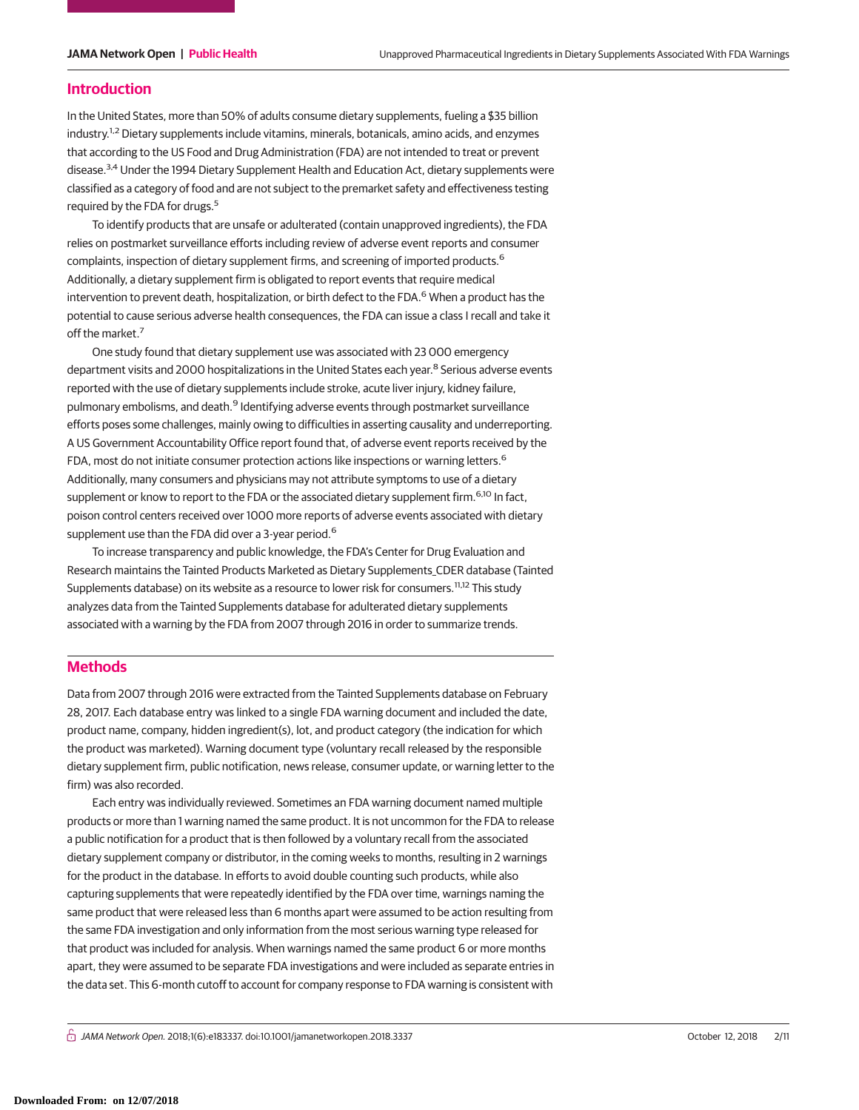# **Introduction**

In the United States, more than 50% of adults consume dietary supplements, fueling a \$35 billion industry.<sup>1,2</sup> Dietary supplements include vitamins, minerals, botanicals, amino acids, and enzymes that according to the US Food and Drug Administration (FDA) are not intended to treat or prevent disease.<sup>3,4</sup> Under the 1994 Dietary Supplement Health and Education Act, dietary supplements were classified as a category of food and are not subject to the premarket safety and effectiveness testing required by the FDA for drugs.<sup>5</sup>

To identify products that are unsafe or adulterated (contain unapproved ingredients), the FDA relies on postmarket surveillance efforts including review of adverse event reports and consumer complaints, inspection of dietary supplement firms, and screening of imported products.<sup>6</sup> Additionally, a dietary supplement firm is obligated to report events that require medical intervention to prevent death, hospitalization, or birth defect to the FDA.<sup>6</sup> When a product has the potential to cause serious adverse health consequences, the FDA can issue a class I recall and take it off the market.<sup>7</sup>

One study found that dietary supplement use was associated with 23 000 emergency department visits and 2000 hospitalizations in the United States each year.<sup>8</sup> Serious adverse events reported with the use of dietary supplements include stroke, acute liver injury, kidney failure, pulmonary embolisms, and death.<sup>9</sup> Identifying adverse events through postmarket surveillance efforts poses some challenges, mainly owing to difficulties in asserting causality and underreporting. A US Government Accountability Office report found that, of adverse event reports received by the FDA, most do not initiate consumer protection actions like inspections or warning letters.<sup>6</sup> Additionally, many consumers and physicians may not attribute symptoms to use of a dietary supplement or know to report to the FDA or the associated dietary supplement firm.<sup>6,10</sup> In fact, poison control centers received over 1000 more reports of adverse events associated with dietary supplement use than the FDA did over a 3-year period.<sup>6</sup>

To increase transparency and public knowledge, the FDA's Center for Drug Evaluation and Research maintains the Tainted Products Marketed as Dietary Supplements\_CDER database (Tainted Supplements database) on its website as a resource to lower risk for consumers.<sup>11,12</sup> This study analyzes data from the Tainted Supplements database for adulterated dietary supplements associated with a warning by the FDA from 2007 through 2016 in order to summarize trends.

# **Methods**

Data from 2007 through 2016 were extracted from the Tainted Supplements database on February 28, 2017. Each database entry was linked to a single FDA warning document and included the date, product name, company, hidden ingredient(s), lot, and product category (the indication for which the product was marketed). Warning document type (voluntary recall released by the responsible dietary supplement firm, public notification, news release, consumer update, or warning letter to the firm) was also recorded.

Each entry was individually reviewed. Sometimes an FDA warning document named multiple products or more than 1 warning named the same product. It is not uncommon for the FDA to release a public notification for a product that is then followed by a voluntary recall from the associated dietary supplement company or distributor, in the coming weeks to months, resulting in 2 warnings for the product in the database. In efforts to avoid double counting such products, while also capturing supplements that were repeatedly identified by the FDA over time, warnings naming the same product that were released less than 6 months apart were assumed to be action resulting from the same FDA investigation and only information from the most serious warning type released for that product was included for analysis. When warnings named the same product 6 or more months apart, they were assumed to be separate FDA investigations and were included as separate entries in the data set. This 6-month cutoff to account for company response to FDA warning is consistent with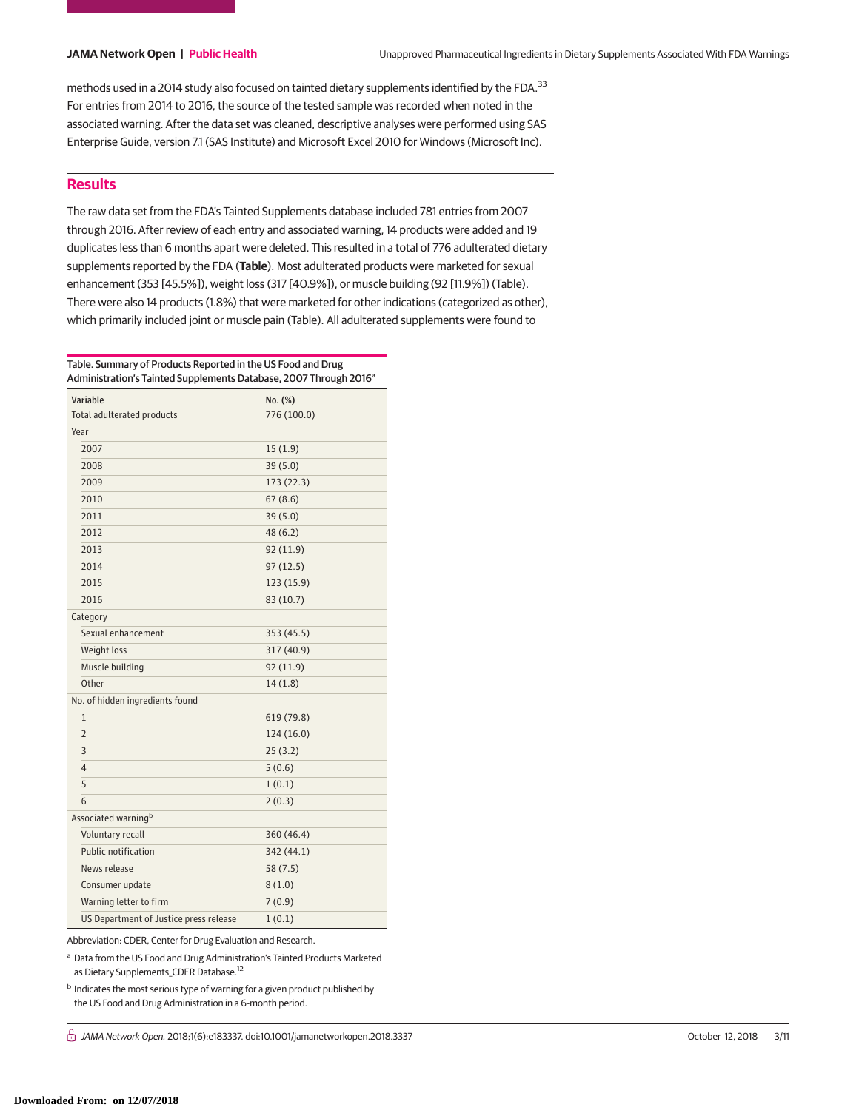methods used in a 2014 study also focused on tainted dietary supplements identified by the FDA.<sup>33</sup> For entries from 2014 to 2016, the source of the tested sample was recorded when noted in the associated warning. After the data set was cleaned, descriptive analyses were performed using SAS Enterprise Guide, version 7.1 (SAS Institute) and Microsoft Excel 2010 for Windows (Microsoft Inc).

# **Results**

The raw data set from the FDA's Tainted Supplements database included 781 entries from 2007 through 2016. After review of each entry and associated warning, 14 products were added and 19 duplicates less than 6 months apart were deleted. This resulted in a total of 776 adulterated dietary supplements reported by the FDA (**Table**). Most adulterated products were marketed for sexual enhancement (353 [45.5%]), weight loss (317 [40.9%]), or muscle building (92 [11.9%]) (Table). There were also 14 products (1.8%) that were marketed for other indications (categorized as other), which primarily included joint or muscle pain (Table). All adulterated supplements were found to

Table. Summary of Products Reported in the US Food and Drug Administration's Tainted Supplements Database, 2007 Through 2016<sup>a</sup>

| Variable                               | No. (%)     |
|----------------------------------------|-------------|
| Total adulterated products             | 776 (100.0) |
| Year                                   |             |
| 2007                                   | 15(1.9)     |
| 2008                                   | 39(5.0)     |
| 2009                                   | 173(22.3)   |
| 2010                                   | 67(8.6)     |
| 2011                                   | 39 (5.0)    |
| 2012                                   | 48(6.2)     |
| 2013                                   | 92(11.9)    |
| 2014                                   | 97(12.5)    |
| 2015                                   | 123 (15.9)  |
| 2016                                   | 83 (10.7)   |
| Category                               |             |
| Sexual enhancement                     | 353 (45.5)  |
| Weight loss                            | 317 (40.9)  |
| Muscle building                        | 92(11.9)    |
| Other                                  | 14(1.8)     |
| No. of hidden ingredients found        |             |
| 1                                      | 619 (79.8)  |
| $\overline{2}$                         | 124 (16.0)  |
| 3                                      | 25(3.2)     |
| $\overline{4}$                         | 5(0.6)      |
| 5                                      | 1(0.1)      |
| 6                                      | 2(0.3)      |
| Associated warning <sup>b</sup>        |             |
| Voluntary recall                       | 360 (46.4)  |
| Public notification                    | 342 (44.1)  |
| News release                           | 58(7.5)     |
| Consumer update                        | 8(1.0)      |
| Warning letter to firm                 | 7(0.9)      |
| US Department of Justice press release | 1(0.1)      |

Abbreviation: CDER, Center for Drug Evaluation and Research.

a Data from the US Food and Drug Administration's Tainted Products Marketed as Dietary Supplements\_CDER Database.12

 $<sup>b</sup>$  Indicates the most serious type of warning for a given product published by</sup> the US Food and Drug Administration in a 6-month period.

 $\bigcap$  JAMA Network Open. 2018;1(6):e183337. doi:10.1001/jamanetworkopen.2018.3337 October 12, 2018 2/11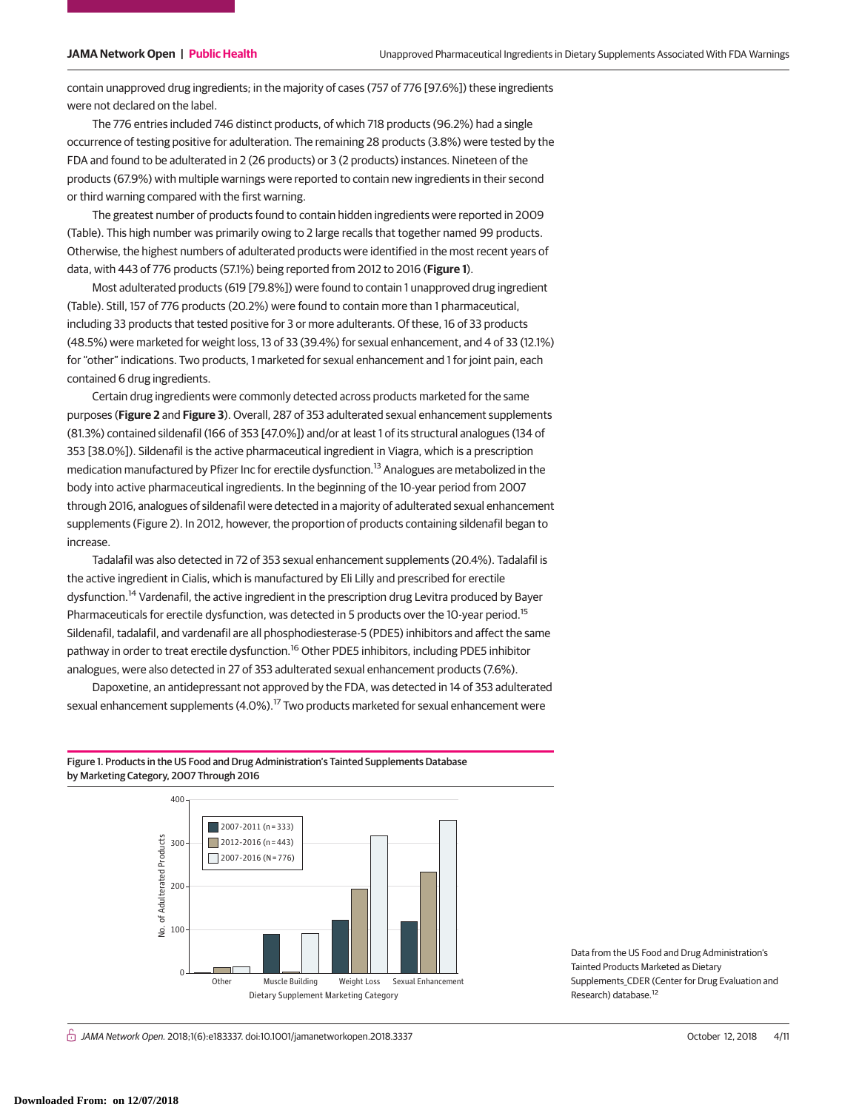contain unapproved drug ingredients; in the majority of cases (757 of 776 [97.6%]) these ingredients were not declared on the label.

The 776 entries included 746 distinct products, of which 718 products (96.2%) had a single occurrence of testing positive for adulteration. The remaining 28 products (3.8%) were tested by the FDA and found to be adulterated in 2 (26 products) or 3 (2 products) instances. Nineteen of the products (67.9%) with multiple warnings were reported to contain new ingredients in their second or third warning compared with the first warning.

The greatest number of products found to contain hidden ingredients were reported in 2009 (Table). This high number was primarily owing to 2 large recalls that together named 99 products. Otherwise, the highest numbers of adulterated products were identified in the most recent years of data, with 443 of 776 products (57.1%) being reported from 2012 to 2016 (**Figure 1**).

Most adulterated products (619 [79.8%]) were found to contain 1 unapproved drug ingredient (Table). Still, 157 of 776 products (20.2%) were found to contain more than 1 pharmaceutical, including 33 products that tested positive for 3 or more adulterants. Of these, 16 of 33 products (48.5%) were marketed for weight loss, 13 of 33 (39.4%) for sexual enhancement, and 4 of 33 (12.1%) for "other" indications. Two products, 1 marketed for sexual enhancement and 1 for joint pain, each contained 6 drug ingredients.

Certain drug ingredients were commonly detected across products marketed for the same purposes (**Figure 2** and **Figure 3**). Overall, 287 of 353 adulterated sexual enhancement supplements (81.3%) contained sildenafil (166 of 353 [47.0%]) and/or at least 1 of its structural analogues (134 of 353 [38.0%]). Sildenafil is the active pharmaceutical ingredient in Viagra, which is a prescription medication manufactured by Pfizer Inc for erectile dysfunction.<sup>13</sup> Analogues are metabolized in the body into active pharmaceutical ingredients. In the beginning of the 10-year period from 2007 through 2016, analogues of sildenafil were detected in a majority of adulterated sexual enhancement supplements (Figure 2). In 2012, however, the proportion of products containing sildenafil began to increase.

Tadalafil was also detected in 72 of 353 sexual enhancement supplements (20.4%). Tadalafil is the active ingredient in Cialis, which is manufactured by Eli Lilly and prescribed for erectile dysfunction.<sup>14</sup> Vardenafil, the active ingredient in the prescription drug Levitra produced by Bayer Pharmaceuticals for erectile dysfunction, was detected in 5 products over the 10-year period.<sup>15</sup> Sildenafil, tadalafil, and vardenafil are all phosphodiesterase-5 (PDE5) inhibitors and affect the same pathway in order to treat erectile dysfunction.<sup>16</sup> Other PDE5 inhibitors, including PDE5 inhibitor analogues, were also detected in 27 of 353 adulterated sexual enhancement products (7.6%).

Dapoxetine, an antidepressant not approved by the FDA, was detected in 14 of 353 adulterated sexual enhancement supplements (4.0%).<sup>17</sup> Two products marketed for sexual enhancement were

### Figure 1. Products in the US Food and Drug Administration's Tainted Supplements Database by Marketing Category, 2007 Through 2016



Data from the US Food and Drug Administration's Tainted Products Marketed as Dietary Supplements\_CDER (Center for Drug Evaluation and Research) database.12

 $\bigcap_{i=1}^n$  JAMA Network Open. 2018;1(6):e183337. doi:10.1001/jamanetworkopen.2018.3337 October 12, 2018 4/11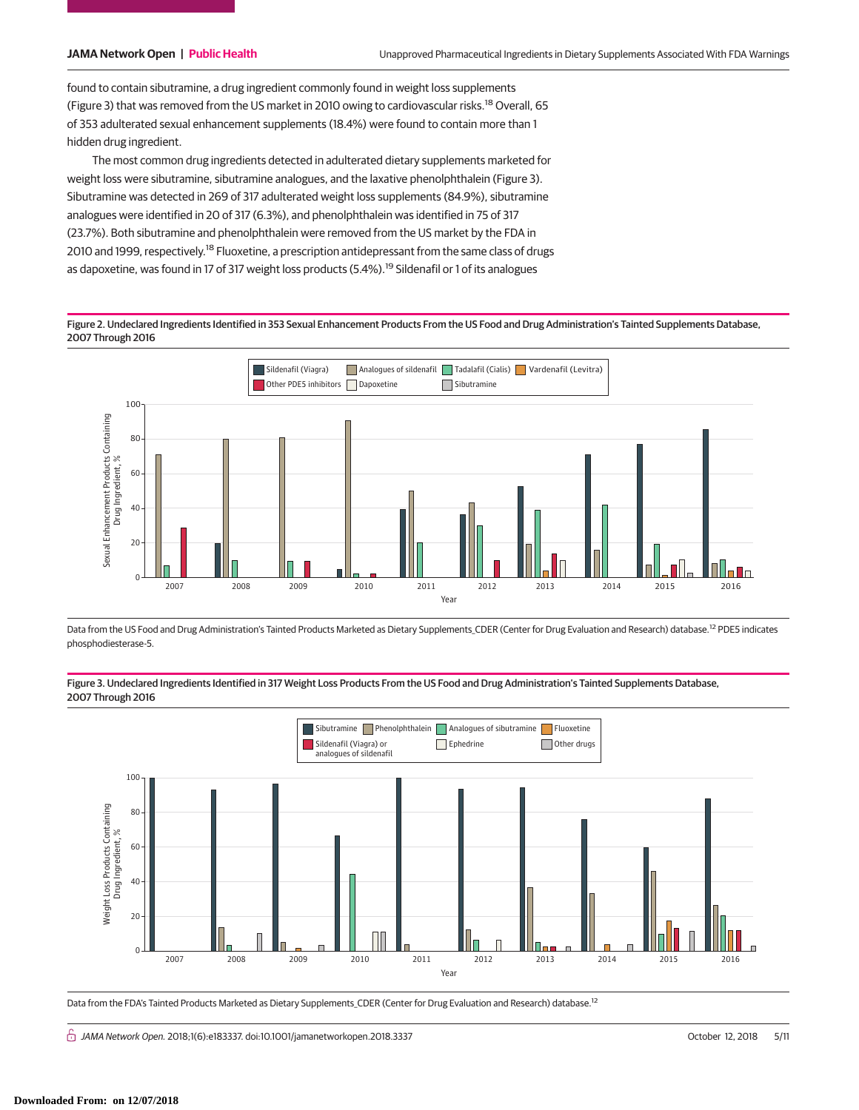found to contain sibutramine, a drug ingredient commonly found in weight loss supplements (Figure 3) that was removed from the US market in 2010 owing to cardiovascular risks.<sup>18</sup> Overall, 65 of 353 adulterated sexual enhancement supplements (18.4%) were found to contain more than 1 hidden drug ingredient.

The most common drug ingredients detected in adulterated dietary supplements marketed for weight loss were sibutramine, sibutramine analogues, and the laxative phenolphthalein (Figure 3). Sibutramine was detected in 269 of 317 adulterated weight loss supplements (84.9%), sibutramine analogues were identified in 20 of 317 (6.3%), and phenolphthalein was identified in 75 of 317 (23.7%). Both sibutramine and phenolphthalein were removed from the US market by the FDA in 2010 and 1999, respectively.<sup>18</sup> Fluoxetine, a prescription antidepressant from the same class of drugs as dapoxetine, was found in 17 of 317 weight loss products (5.4%).<sup>19</sup> Sildenafil or 1 of its analogues

Figure 2. Undeclared Ingredients Identified in 353 Sexual Enhancement Products From the US Food and Drug Administration's Tainted Supplements Database, 2007 Through 2016



Data from the US Food and Drug Administration's Tainted Products Marketed as Dietary Supplements\_CDER (Center for Drug Evaluation and Research) database.12 PDE5 indicates phosphodiesterase-5.

Figure 3. Undeclared Ingredients Identified in 317 Weight Loss Products From the US Food and Drug Administration's Tainted Supplements Database, 2007 Through 2016



Data from the FDA's Tainted Products Marketed as Dietary Supplements\_CDER (Center for Drug Evaluation and Research) database.<sup>12</sup>

 $\bigcap$  JAMA Network Open. 2018;1(6):e183337. doi:10.1001/jamanetworkopen.2018.3337 October 12, 2018 S/11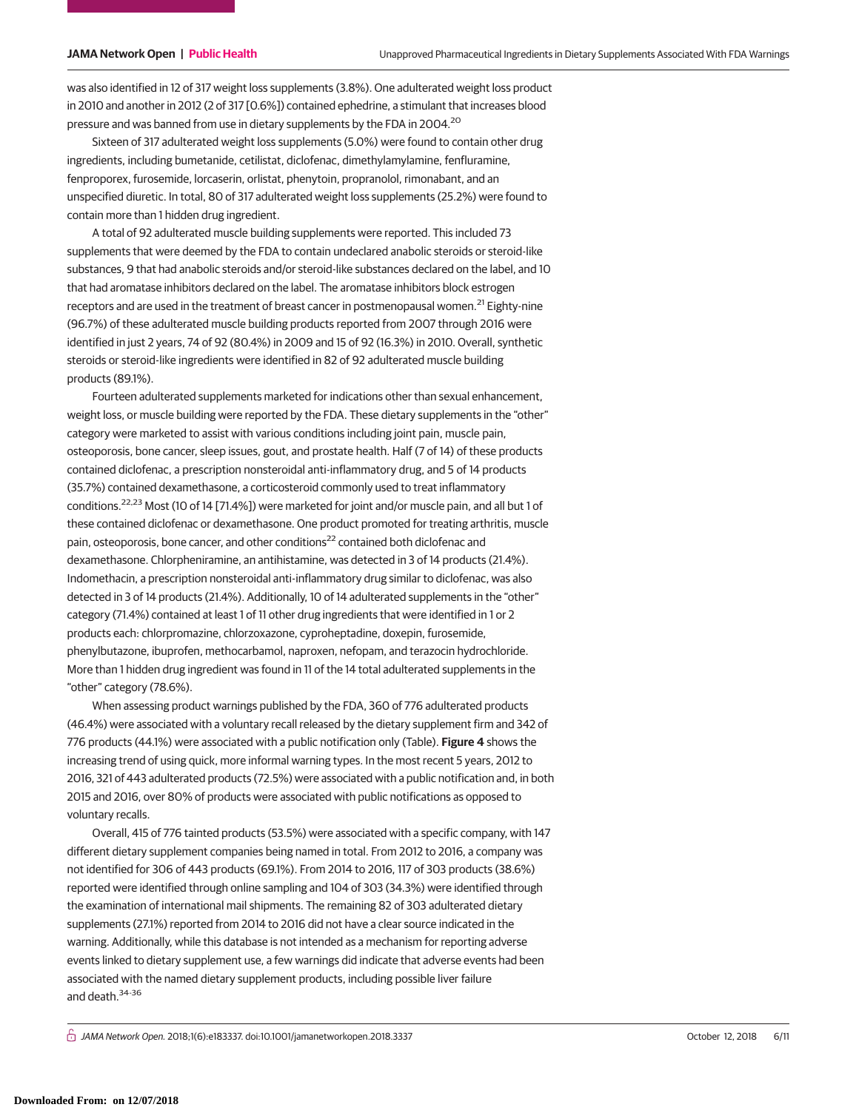was also identified in 12 of 317 weight loss supplements (3.8%). One adulterated weight loss product in 2010 and another in 2012 (2 of 317 [0.6%]) contained ephedrine, a stimulant that increases blood pressure and was banned from use in dietary supplements by the FDA in 2004.20

Sixteen of 317 adulterated weight loss supplements (5.0%) were found to contain other drug ingredients, including bumetanide, cetilistat, diclofenac, dimethylamylamine, fenfluramine, fenproporex, furosemide, lorcaserin, orlistat, phenytoin, propranolol, rimonabant, and an unspecified diuretic. In total, 80 of 317 adulterated weight loss supplements (25.2%) were found to contain more than 1 hidden drug ingredient.

A total of 92 adulterated muscle building supplements were reported. This included 73 supplements that were deemed by the FDA to contain undeclared anabolic steroids or steroid-like substances, 9 that had anabolic steroids and/or steroid-like substances declared on the label, and 10 that had aromatase inhibitors declared on the label. The aromatase inhibitors block estrogen receptors and are used in the treatment of breast cancer in postmenopausal women.<sup>21</sup> Eighty-nine (96.7%) of these adulterated muscle building products reported from 2007 through 2016 were identified in just 2 years, 74 of 92 (80.4%) in 2009 and 15 of 92 (16.3%) in 2010. Overall, synthetic steroids or steroid-like ingredients were identified in 82 of 92 adulterated muscle building products (89.1%).

Fourteen adulterated supplements marketed for indications other than sexual enhancement, weight loss, or muscle building were reported by the FDA. These dietary supplements in the "other" category were marketed to assist with various conditions including joint pain, muscle pain, osteoporosis, bone cancer, sleep issues, gout, and prostate health. Half (7 of 14) of these products contained diclofenac, a prescription nonsteroidal anti-inflammatory drug, and 5 of 14 products (35.7%) contained dexamethasone, a corticosteroid commonly used to treat inflammatory conditions.22,23 Most (10 of 14 [71.4%]) were marketed for joint and/or muscle pain, and all but 1 of these contained diclofenac or dexamethasone. One product promoted for treating arthritis, muscle pain, osteoporosis, bone cancer, and other conditions<sup>22</sup> contained both diclofenac and dexamethasone. Chlorpheniramine, an antihistamine, was detected in 3 of 14 products (21.4%). Indomethacin, a prescription nonsteroidal anti-inflammatory drug similar to diclofenac, was also detected in 3 of 14 products (21.4%). Additionally, 10 of 14 adulterated supplements in the "other" category (71.4%) contained at least 1 of 11 other drug ingredients that were identified in 1 or 2 products each: chlorpromazine, chlorzoxazone, cyproheptadine, doxepin, furosemide, phenylbutazone, ibuprofen, methocarbamol, naproxen, nefopam, and terazocin hydrochloride. More than 1 hidden drug ingredient was found in 11 of the 14 total adulterated supplements in the "other" category (78.6%).

When assessing product warnings published by the FDA, 360 of 776 adulterated products (46.4%) were associated with a voluntary recall released by the dietary supplement firm and 342 of 776 products (44.1%) were associated with a public notification only (Table). **Figure 4** shows the increasing trend of using quick, more informal warning types. In the most recent 5 years, 2012 to 2016, 321 of 443 adulterated products (72.5%) were associated with a public notification and, in both 2015 and 2016, over 80% of products were associated with public notifications as opposed to voluntary recalls.

Overall, 415 of 776 tainted products (53.5%) were associated with a specific company, with 147 different dietary supplement companies being named in total. From 2012 to 2016, a company was not identified for 306 of 443 products (69.1%). From 2014 to 2016, 117 of 303 products (38.6%) reported were identified through online sampling and 104 of 303 (34.3%) were identified through the examination of international mail shipments. The remaining 82 of 303 adulterated dietary supplements (27.1%) reported from 2014 to 2016 did not have a clear source indicated in the warning. Additionally, while this database is not intended as a mechanism for reporting adverse events linked to dietary supplement use, a few warnings did indicate that adverse events had been associated with the named dietary supplement products, including possible liver failure and death.<sup>34-36</sup>

 $\bigcap$  JAMA Network Open. 2018;1(6):e183337. doi:10.1001/jamanetworkopen.2018.3337 October 12, 2018 6/11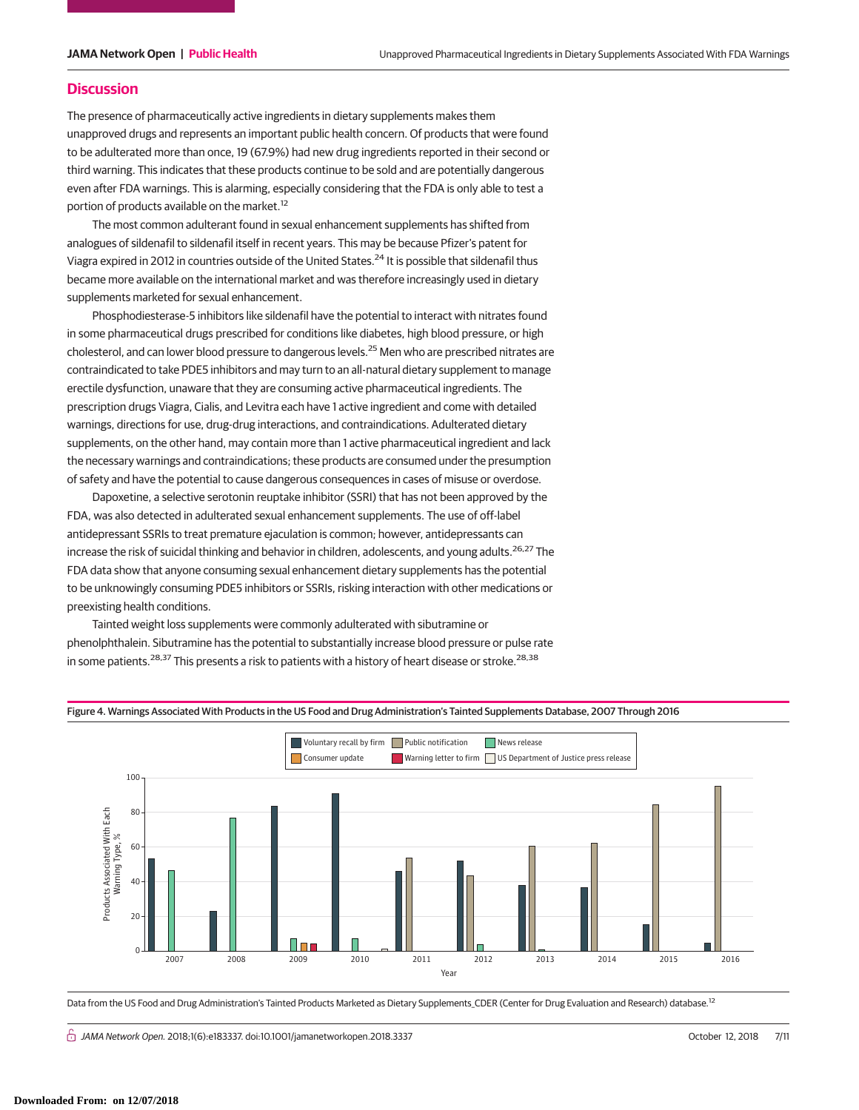# **Discussion**

The presence of pharmaceutically active ingredients in dietary supplements makes them unapproved drugs and represents an important public health concern. Of products that were found to be adulterated more than once, 19 (67.9%) had new drug ingredients reported in their second or third warning. This indicates that these products continue to be sold and are potentially dangerous even after FDA warnings. This is alarming, especially considering that the FDA is only able to test a portion of products available on the market.<sup>12</sup>

The most common adulterant found in sexual enhancement supplements has shifted from analogues of sildenafil to sildenafil itself in recent years. This may be because Pfizer's patent for Viagra expired in 2012 in countries outside of the United States.24 It is possible that sildenafil thus became more available on the international market and was therefore increasingly used in dietary supplements marketed for sexual enhancement.

Phosphodiesterase-5 inhibitors like sildenafil have the potential to interact with nitrates found in some pharmaceutical drugs prescribed for conditions like diabetes, high blood pressure, or high cholesterol, and can lower blood pressure to dangerous levels.<sup>25</sup> Men who are prescribed nitrates are contraindicated to take PDE5 inhibitors and may turn to an all-natural dietary supplement to manage erectile dysfunction, unaware that they are consuming active pharmaceutical ingredients. The prescription drugs Viagra, Cialis, and Levitra each have 1 active ingredient and come with detailed warnings, directions for use, drug-drug interactions, and contraindications. Adulterated dietary supplements, on the other hand, may contain more than 1 active pharmaceutical ingredient and lack the necessary warnings and contraindications; these products are consumed under the presumption of safety and have the potential to cause dangerous consequences in cases of misuse or overdose.

Dapoxetine, a selective serotonin reuptake inhibitor (SSRI) that has not been approved by the FDA, was also detected in adulterated sexual enhancement supplements. The use of off-label antidepressant SSRIs to treat premature ejaculation is common; however, antidepressants can increase the risk of suicidal thinking and behavior in children, adolescents, and young adults.<sup>26,27</sup> The FDA data show that anyone consuming sexual enhancement dietary supplements has the potential to be unknowingly consuming PDE5 inhibitors or SSRIs, risking interaction with other medications or preexisting health conditions.

Tainted weight loss supplements were commonly adulterated with sibutramine or phenolphthalein. Sibutramine has the potential to substantially increase blood pressure or pulse rate in some patients.<sup>28,37</sup> This presents a risk to patients with a history of heart disease or stroke.<sup>28,38</sup>



Figure 4. Warnings Associated With Products in the US Food and Drug Administration's Tainted Supplements Database, 2007 Through 2016

Data from the US Food and Drug Administration's Tainted Products Marketed as Dietary Supplements\_CDER (Center for Drug Evaluation and Research) database.<sup>12</sup>

JAMA Network Open. 2018;1(6):e183337. doi:10.1001/jamanetworkopen.2018.3337 October 12, 2018 7/11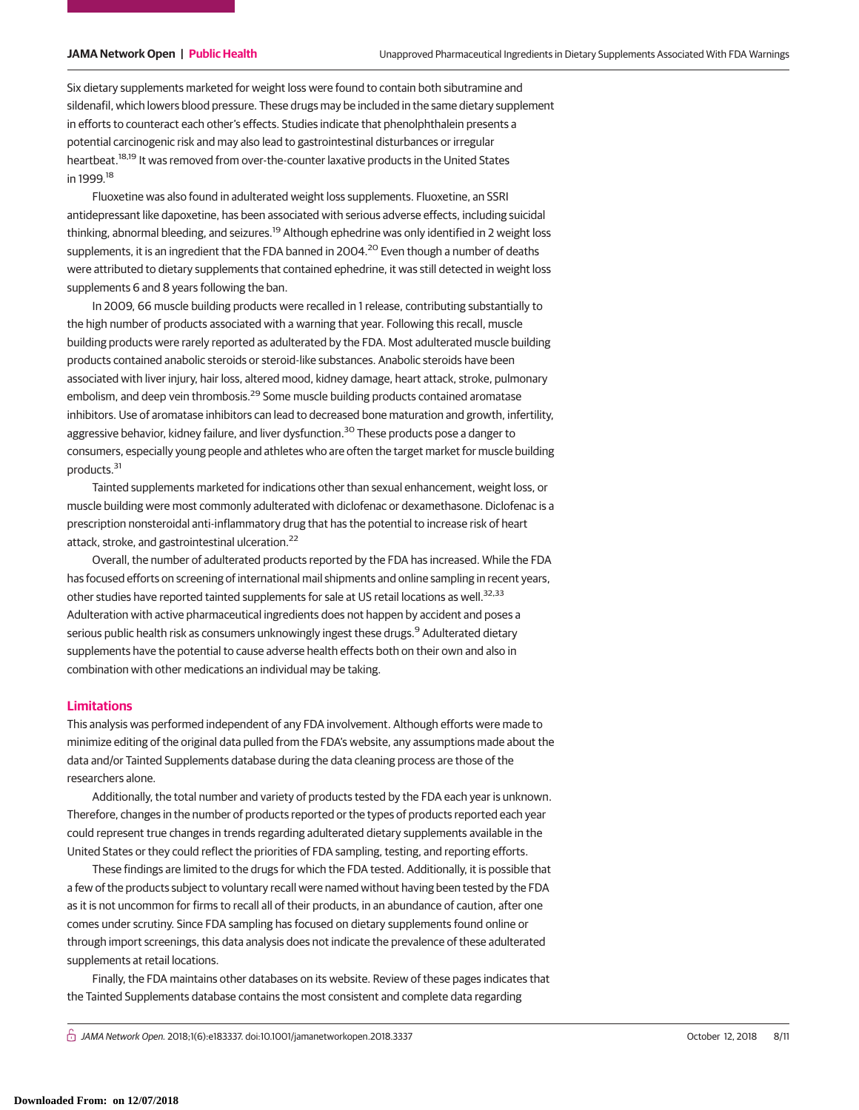Six dietary supplements marketed for weight loss were found to contain both sibutramine and sildenafil, which lowers blood pressure. These drugs may be included in the same dietary supplement in efforts to counteract each other's effects. Studies indicate that phenolphthalein presents a potential carcinogenic risk and may also lead to gastrointestinal disturbances or irregular heartbeat.<sup>18,19</sup> It was removed from over-the-counter laxative products in the United States in 1999.<sup>18</sup>

Fluoxetine was also found in adulterated weight loss supplements. Fluoxetine, an SSRI antidepressant like dapoxetine, has been associated with serious adverse effects, including suicidal thinking, abnormal bleeding, and seizures.<sup>19</sup> Although ephedrine was only identified in 2 weight loss supplements, it is an ingredient that the FDA banned in 2004.<sup>20</sup> Even though a number of deaths were attributed to dietary supplements that contained ephedrine, it was still detected in weight loss supplements 6 and 8 years following the ban.

In 2009, 66 muscle building products were recalled in 1 release, contributing substantially to the high number of products associated with a warning that year. Following this recall, muscle building products were rarely reported as adulterated by the FDA. Most adulterated muscle building products contained anabolic steroids or steroid-like substances. Anabolic steroids have been associated with liver injury, hair loss, altered mood, kidney damage, heart attack, stroke, pulmonary embolism, and deep vein thrombosis.<sup>29</sup> Some muscle building products contained aromatase inhibitors. Use of aromatase inhibitors can lead to decreased bone maturation and growth, infertility, aggressive behavior, kidney failure, and liver dysfunction.<sup>30</sup> These products pose a danger to consumers, especially young people and athletes who are often the target market for muscle building products.<sup>31</sup>

Tainted supplements marketed for indications other than sexual enhancement, weight loss, or muscle building were most commonly adulterated with diclofenac or dexamethasone. Diclofenac is a prescription nonsteroidal anti-inflammatory drug that has the potential to increase risk of heart attack, stroke, and gastrointestinal ulceration.<sup>22</sup>

Overall, the number of adulterated products reported by the FDA has increased. While the FDA has focused efforts on screening of international mail shipments and online sampling in recent years, other studies have reported tainted supplements for sale at US retail locations as well.<sup>32,33</sup> Adulteration with active pharmaceutical ingredients does not happen by accident and poses a serious public health risk as consumers unknowingly ingest these drugs.<sup>9</sup> Adulterated dietary supplements have the potential to cause adverse health effects both on their own and also in combination with other medications an individual may be taking.

### **Limitations**

This analysis was performed independent of any FDA involvement. Although efforts were made to minimize editing of the original data pulled from the FDA's website, any assumptions made about the data and/or Tainted Supplements database during the data cleaning process are those of the researchers alone.

Additionally, the total number and variety of products tested by the FDA each year is unknown. Therefore, changes in the number of products reported or the types of products reported each year could represent true changes in trends regarding adulterated dietary supplements available in the United States or they could reflect the priorities of FDA sampling, testing, and reporting efforts.

These findings are limited to the drugs for which the FDA tested. Additionally, it is possible that a few of the products subject to voluntary recall were named without having been tested by the FDA as it is not uncommon for firms to recall all of their products, in an abundance of caution, after one comes under scrutiny. Since FDA sampling has focused on dietary supplements found online or through import screenings, this data analysis does not indicate the prevalence of these adulterated supplements at retail locations.

Finally, the FDA maintains other databases on its website. Review of these pages indicates that the Tainted Supplements database contains the most consistent and complete data regarding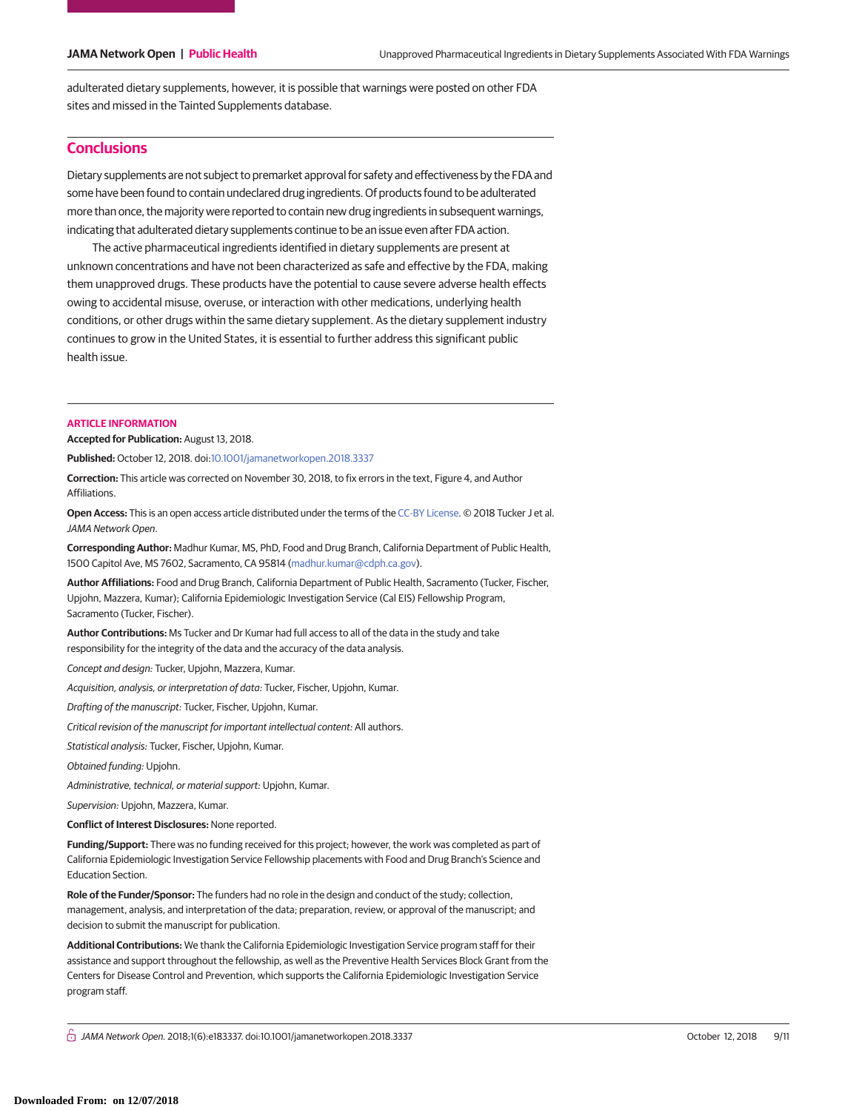adulterated dietary supplements, however, it is possible that warnings were posted on other FDA sites and missed in the Tainted Supplements database.

# **Conclusions**

Dietary supplements are not subject to premarket approval for safety and effectiveness by the FDA and some have been found to contain undeclared drug ingredients. Of products found to be adulterated more than once, the majority were reported to contain new drug ingredients in subsequent warnings, indicating that adulterated dietary supplements continue to be an issue even after FDA action.

The active pharmaceutical ingredients identified in dietary supplements are present at unknown concentrations and have not been characterized as safe and effective by the FDA, making them unapproved drugs. These products have the potential to cause severe adverse health effects owing to accidental misuse, overuse, or interaction with other medications, underlying health conditions, or other drugs within the same dietary supplement. As the dietary supplement industry continues to grow in the United States, it is essential to further address this significant public health issue.

# **ARTICLE INFORMATION**

**Accepted for Publication:** August 13, 2018.

**Published:** October 12, 2018. doi[:10.1001/jamanetworkopen.2018.3337](https://jama.jamanetwork.com/article.aspx?doi=10.1001/jamanetworkopen.2018.3337&utm_campaign=articlePDF%26utm_medium=articlePDFlink%26utm_source=articlePDF%26utm_content=jamanetworkopen.2018.3337)

**Correction:** This article was corrected on November 30, 2018, to fix errors in the text, Figure 4, and Author Affiliations.

**Open Access:** This is an open access article distributed under the terms of the [CC-BY License.](https://jamanetwork.com/journals/jamanetworkopen/pages/instructions-for-authors#SecOpenAccess/?utm_campaign=articlePDF%26utm_medium=articlePDFlink%26utm_source=articlePDF%26utm_content=jamanetworkopen.2018.3337) © 2018 Tucker J et al. JAMA Network Open.

**Corresponding Author:** Madhur Kumar, MS, PhD, Food and Drug Branch, California Department of Public Health, 1500 Capitol Ave, MS 7602, Sacramento, CA 95814 [\(madhur.kumar@cdph.ca.gov\)](mailto:madhur.kumar@cdph.ca.gov).

**Author Affiliations:** Food and Drug Branch, California Department of Public Health, Sacramento (Tucker, Fischer, Upjohn, Mazzera, Kumar); California Epidemiologic Investigation Service (Cal EIS) Fellowship Program, Sacramento (Tucker, Fischer).

**Author Contributions:** Ms Tucker and Dr Kumar had full access to all of the data in the study and take responsibility for the integrity of the data and the accuracy of the data analysis.

Concept and design: Tucker, Upjohn, Mazzera, Kumar.

Acquisition, analysis, or interpretation of data: Tucker, Fischer, Upjohn, Kumar.

Drafting of the manuscript: Tucker, Fischer, Upjohn, Kumar.

Critical revision of the manuscript for important intellectual content: All authors.

Statistical analysis: Tucker, Fischer, Upjohn, Kumar.

Obtained funding: Upjohn.

Administrative, technical, or material support: Upjohn, Kumar.

Supervision: Upjohn, Mazzera, Kumar.

**Conflict of Interest Disclosures:** None reported.

**Funding/Support:** There was no funding received for this project; however, the work was completed as part of California Epidemiologic Investigation Service Fellowship placements with Food and Drug Branch's Science and Education Section.

**Role of the Funder/Sponsor:** The funders had no role in the design and conduct of the study; collection, management, analysis, and interpretation of the data; preparation, review, or approval of the manuscript; and decision to submit the manuscript for publication.

**Additional Contributions:** We thank the California Epidemiologic Investigation Service program staff for their assistance and support throughout the fellowship, as well as the Preventive Health Services Block Grant from the Centers for Disease Control and Prevention, which supports the California Epidemiologic Investigation Service program staff.

 $\bigcap$  JAMA Network Open. 2018;1(6):e183337. doi:10.1001/jamanetworkopen.2018.3337 October 12, 2018 0ctober 12, 2018 9/11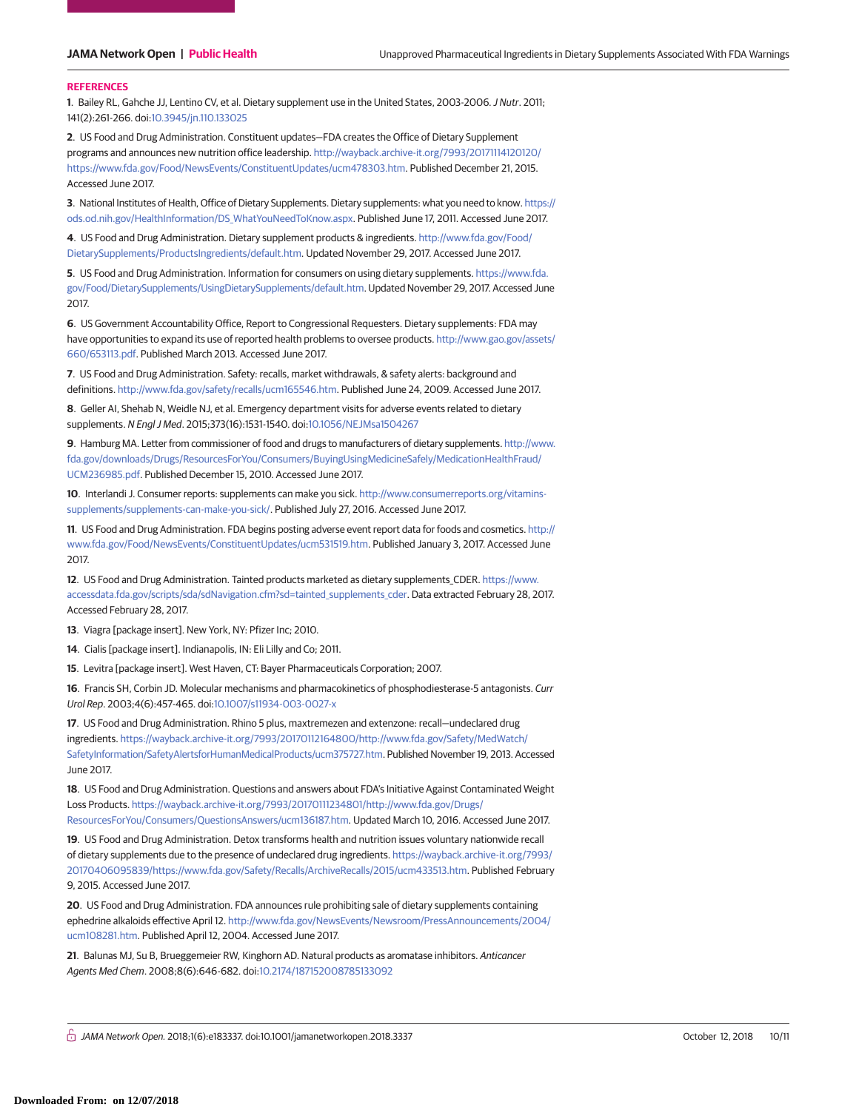### **REFERENCES**

**1**. Bailey RL, Gahche JJ, Lentino CV, et al. Dietary supplement use in the United States, 2003-2006.J Nutr. 2011; 141(2):261-266. doi[:10.3945/jn.110.133025](https://dx.doi.org/10.3945/jn.110.133025)

**2**. US Food and Drug Administration. Constituent updates—FDA creates the Office of Dietary Supplement programs and announces new nutrition office leadership. [http://wayback.archive-it.org/7993/20171114120120/](http://wayback.archive-it.org/7993/20171114120120/https://www.fda.gov/Food/NewsEvents/ConstituentUpdates/ucm478303.htm) [https://www.fda.gov/Food/NewsEvents/ConstituentUpdates/ucm478303.htm.](http://wayback.archive-it.org/7993/20171114120120/https://www.fda.gov/Food/NewsEvents/ConstituentUpdates/ucm478303.htm) Published December 21, 2015. Accessed June 2017.

**3**. National Institutes of Health, Office of Dietary Supplements. Dietary supplements: what you need to know. [https://](https://ods.od.nih.gov/HealthInformation/DS_WhatYouNeedToKnow.aspx) [ods.od.nih.gov/HealthInformation/DS\\_WhatYouNeedToKnow.aspx.](https://ods.od.nih.gov/HealthInformation/DS_WhatYouNeedToKnow.aspx) Published June 17, 2011. Accessed June 2017.

**4**. US Food and Drug Administration. Dietary supplement products & ingredients. [http://www.fda.gov/Food/](http://www.fda.gov/Food/DietarySupplements/ProductsIngredients/default.htm) [DietarySupplements/ProductsIngredients/default.htm.](http://www.fda.gov/Food/DietarySupplements/ProductsIngredients/default.htm) Updated November 29, 2017. Accessed June 2017.

**5**. US Food and Drug Administration. Information for consumers on using dietary supplements. [https://www.fda.](https://www.fda.gov/Food/DietarySupplements/UsingDietarySupplements/default.htm) [gov/Food/DietarySupplements/UsingDietarySupplements/default.htm.](https://www.fda.gov/Food/DietarySupplements/UsingDietarySupplements/default.htm) Updated November 29, 2017. Accessed June 2017.

**6**. US Government Accountability Office, Report to Congressional Requesters. Dietary supplements: FDA may have opportunities to expand its use of reported health problems to oversee products. [http://www.gao.gov/assets/](http://www.gao.gov/assets/660/653113.pdf) [660/653113.pdf.](http://www.gao.gov/assets/660/653113.pdf) Published March 2013. Accessed June 2017.

**7**. US Food and Drug Administration. Safety: recalls, market withdrawals, & safety alerts: background and definitions. [http://www.fda.gov/safety/recalls/ucm165546.htm.](http://www.fda.gov/safety/recalls/ucm165546.htm) Published June 24, 2009. Accessed June 2017.

**8**. Geller AI, Shehab N, Weidle NJ, et al. Emergency department visits for adverse events related to dietary supplements. N Engl J Med. 2015;373(16):1531-1540. doi[:10.1056/NEJMsa1504267](https://dx.doi.org/10.1056/NEJMsa1504267)

**9**. Hamburg MA. Letter from commissioner of food and drugs to manufacturers of dietary supplements. [http://www.](http://www.fda.gov/downloads/Drugs/ResourcesForYou/Consumers/BuyingUsingMedicineSafely/MedicationHealthFraud/UCM236985.pdf) [fda.gov/downloads/Drugs/ResourcesForYou/Consumers/BuyingUsingMedicineSafely/MedicationHealthFraud/](http://www.fda.gov/downloads/Drugs/ResourcesForYou/Consumers/BuyingUsingMedicineSafely/MedicationHealthFraud/UCM236985.pdf) [UCM236985.pdf.](http://www.fda.gov/downloads/Drugs/ResourcesForYou/Consumers/BuyingUsingMedicineSafely/MedicationHealthFraud/UCM236985.pdf) Published December 15, 2010. Accessed June 2017.

**10**. Interlandi J. Consumer reports: supplements can make you sick. [http://www.consumerreports.org/vitamins](http://www.consumerreports.org/vitamins-supplements/supplements-can-make-you-sick/)[supplements/supplements-can-make-you-sick/.](http://www.consumerreports.org/vitamins-supplements/supplements-can-make-you-sick/) Published July 27, 2016. Accessed June 2017.

**11**. US Food and Drug Administration. FDA begins posting adverse event report data for foods and cosmetics. [http://](http://www.fda.gov/Food/NewsEvents/ConstituentUpdates/ucm531519.htm) [www.fda.gov/Food/NewsEvents/ConstituentUpdates/ucm531519.htm.](http://www.fda.gov/Food/NewsEvents/ConstituentUpdates/ucm531519.htm) Published January 3, 2017. Accessed June 2017.

**12**. US Food and Drug Administration. Tainted products marketed as dietary supplements\_CDER. [https://www.](https://www.accessdata.fda.gov/scripts/sda/sdNavigation.cfm?sd=tainted_supplements_cder) [accessdata.fda.gov/scripts/sda/sdNavigation.cfm?sd=tainted\\_supplements\\_cder.](https://www.accessdata.fda.gov/scripts/sda/sdNavigation.cfm?sd=tainted_supplements_cder) Data extracted February 28, 2017. Accessed February 28, 2017.

**13**. Viagra [package insert]. New York, NY: Pfizer Inc; 2010.

**14**. Cialis [package insert]. Indianapolis, IN: Eli Lilly and Co; 2011.

**15**. Levitra [package insert]. West Haven, CT: Bayer Pharmaceuticals Corporation; 2007.

**16**. Francis SH, Corbin JD. Molecular mechanisms and pharmacokinetics of phosphodiesterase-5 antagonists. Curr Urol Rep. 2003;4(6):457-465. doi[:10.1007/s11934-003-0027-x](https://dx.doi.org/10.1007/s11934-003-0027-x)

**17**. US Food and Drug Administration. Rhino 5 plus, maxtremezen and extenzone: recall—undeclared drug ingredients. [https://wayback.archive-it.org/7993/20170112164800/http://www.fda.gov/Safety/MedWatch/](https://wayback.archive-it.org/7993/20170112164800/http://www.fda.gov/Safety/MedWatch/SafetyInformation/SafetyAlertsforHumanMedicalProducts/ucm375727.htm) [SafetyInformation/SafetyAlertsforHumanMedicalProducts/ucm375727.htm.](https://wayback.archive-it.org/7993/20170112164800/http://www.fda.gov/Safety/MedWatch/SafetyInformation/SafetyAlertsforHumanMedicalProducts/ucm375727.htm) Published November 19, 2013. Accessed June 2017.

**18**. US Food and Drug Administration. Questions and answers about FDA's Initiative Against Contaminated Weight Loss Products. [https://wayback.archive-it.org/7993/20170111234801/http://www.fda.gov/Drugs/](https://wayback.archive-it.org/7993/20170111234801/http://www.fda.gov/Drugs/ResourcesForYou/Consumers/QuestionsAnswers/ucm136187.htm) [ResourcesForYou/Consumers/QuestionsAnswers/ucm136187.htm.](https://wayback.archive-it.org/7993/20170111234801/http://www.fda.gov/Drugs/ResourcesForYou/Consumers/QuestionsAnswers/ucm136187.htm) Updated March 10, 2016. Accessed June 2017.

**19**. US Food and Drug Administration. Detox transforms health and nutrition issues voluntary nationwide recall of dietary supplements due to the presence of undeclared drug ingredients. [https://wayback.archive-it.org/7993/](https://wayback.archive-it.org/7993/20170406095839/https://www.fda.gov/Safety/Recalls/ArchiveRecalls/2015/ucm433513.htm) [20170406095839/https://www.fda.gov/Safety/Recalls/ArchiveRecalls/2015/ucm433513.htm.](https://wayback.archive-it.org/7993/20170406095839/https://www.fda.gov/Safety/Recalls/ArchiveRecalls/2015/ucm433513.htm) Published February 9, 2015. Accessed June 2017.

**20**. US Food and Drug Administration. FDA announces rule prohibiting sale of dietary supplements containing ephedrine alkaloids effective April 12. [http://www.fda.gov/NewsEvents/Newsroom/PressAnnouncements/2004/](http://www.fda.gov/NewsEvents/Newsroom/PressAnnouncements/2004/ucm108281.htm) [ucm108281.htm.](http://www.fda.gov/NewsEvents/Newsroom/PressAnnouncements/2004/ucm108281.htm) Published April 12, 2004. Accessed June 2017.

**21**. Balunas MJ, Su B, Brueggemeier RW, Kinghorn AD. Natural products as aromatase inhibitors. Anticancer Agents Med Chem. 2008;8(6):646-682. doi[:10.2174/187152008785133092](https://dx.doi.org/10.2174/187152008785133092)

 $\bigcap_{i=1}^n$  JAMA Network Open. 2018;1(6):e183337. doi:10.1001/jamanetworkopen.2018.3337 October 12, 2018 10/11